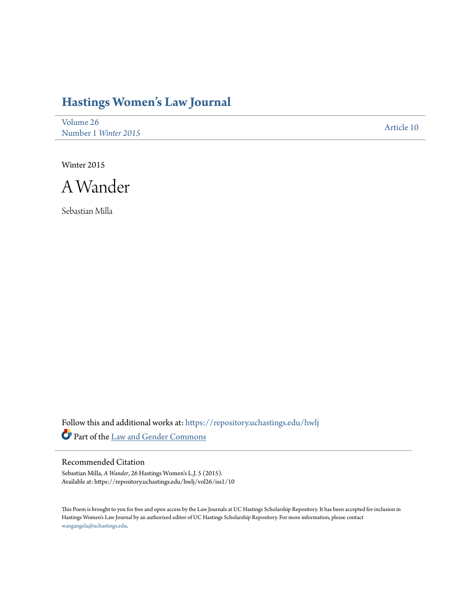## **[Hastings Women's Law Journal](https://repository.uchastings.edu/hwlj?utm_source=repository.uchastings.edu%2Fhwlj%2Fvol26%2Fiss1%2F10&utm_medium=PDF&utm_campaign=PDFCoverPages)**

[Volume 26](https://repository.uchastings.edu/hwlj/vol26?utm_source=repository.uchastings.edu%2Fhwlj%2Fvol26%2Fiss1%2F10&utm_medium=PDF&utm_campaign=PDFCoverPages) Number 1 *[Winter 2015](https://repository.uchastings.edu/hwlj/vol26/iss1?utm_source=repository.uchastings.edu%2Fhwlj%2Fvol26%2Fiss1%2F10&utm_medium=PDF&utm_campaign=PDFCoverPages)* [Article 10](https://repository.uchastings.edu/hwlj/vol26/iss1/10?utm_source=repository.uchastings.edu%2Fhwlj%2Fvol26%2Fiss1%2F10&utm_medium=PDF&utm_campaign=PDFCoverPages)

Winter 2015



Sebastian Milla

Follow this and additional works at: [https://repository.uchastings.edu/hwlj](https://repository.uchastings.edu/hwlj?utm_source=repository.uchastings.edu%2Fhwlj%2Fvol26%2Fiss1%2F10&utm_medium=PDF&utm_campaign=PDFCoverPages) Part of the [Law and Gender Commons](http://network.bepress.com/hgg/discipline/1298?utm_source=repository.uchastings.edu%2Fhwlj%2Fvol26%2Fiss1%2F10&utm_medium=PDF&utm_campaign=PDFCoverPages)

## Recommended Citation

Sebastian Milla, *A Wander*, 26 Hastings Women's L.J. 5 (2015). Available at: https://repository.uchastings.edu/hwlj/vol26/iss1/10

This Poem is brought to you for free and open access by the Law Journals at UC Hastings Scholarship Repository. It has been accepted for inclusion in Hastings Women's Law Journal by an authorized editor of UC Hastings Scholarship Repository. For more information, please contact [wangangela@uchastings.edu](mailto:wangangela@uchastings.edu).